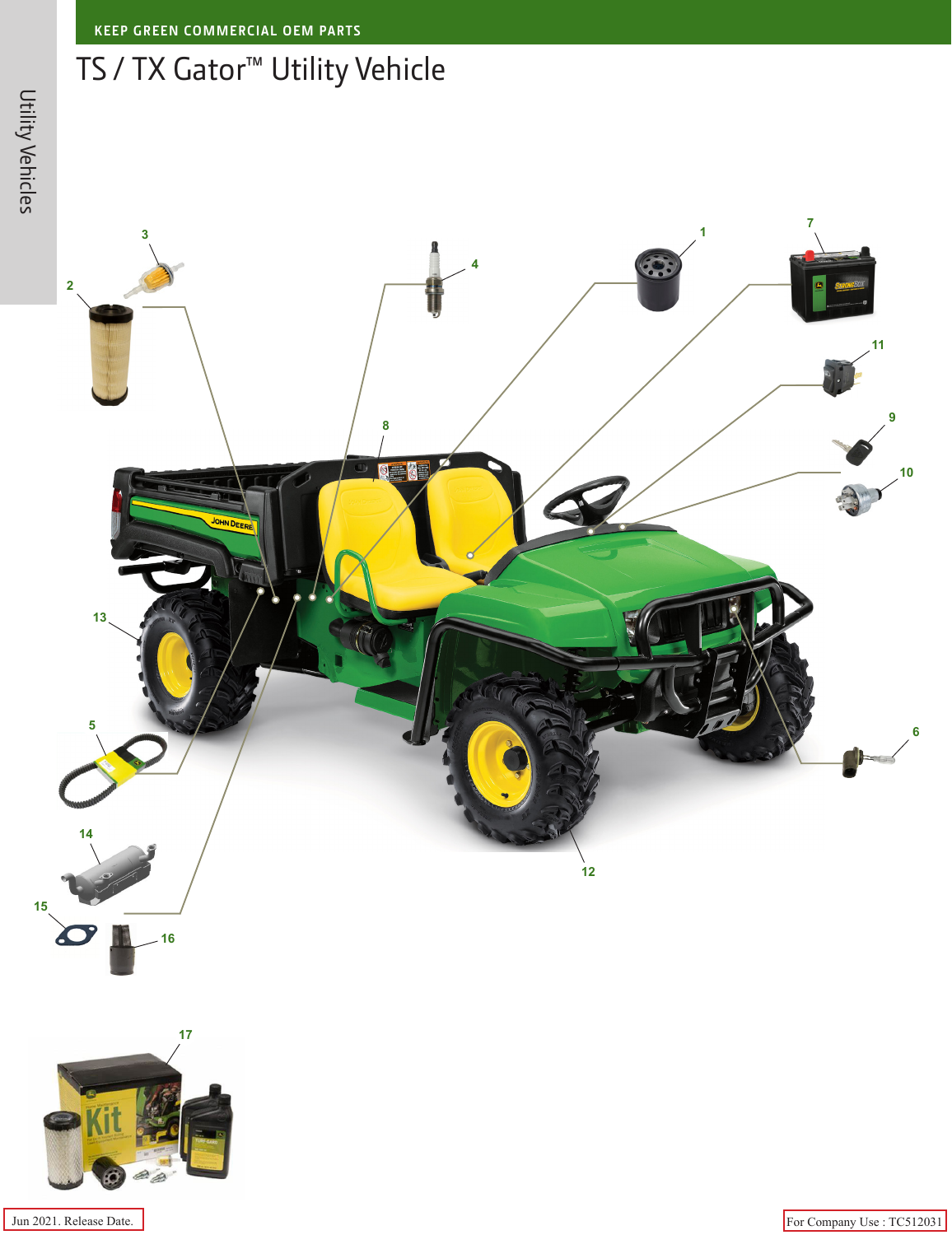## TS / TX Gator™ Utility Vehicle